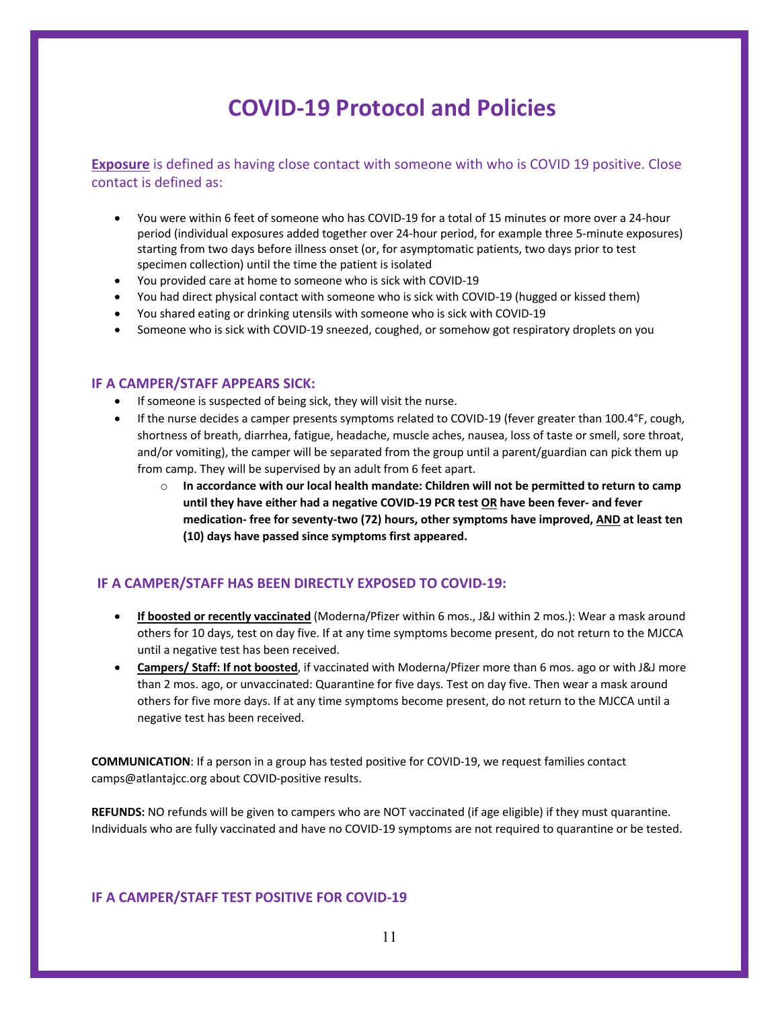# **COVID-19 Protocol and Policies**

**Exposure** is defined as having close contact with someone with who is COVID 19 positive. Close contact is defined as:

- You were within 6 feet of someone who has COVID-19 for a total of 15 minutes or more over a 24-hour period (individual exposures added together over 24-hour period, for example three 5-minute exposures) starting from two days before illness onset (or, for asymptomatic patients, two days prior to test specimen collection) until the time the patient is isolated
- You provided care at home to someone who is sick with COVID-19
- You had direct physical contact with someone who is sick with COVID-19 (hugged or kissed them)
- You shared eating or drinking utensils with someone who is sick with COVID-19
- Someone who is sick with COVID-19 sneezed, coughed, or somehow got respiratory droplets on you

#### **IF A CAMPER/STAFF APPEARS SICK:**

- If someone is suspected of being sick, they will visit the nurse.
- If the nurse decides a camper presents symptoms related to COVID-19 (fever greater than 100.4°F, cough, shortness of breath, diarrhea, fatigue, headache, muscle aches, nausea, loss of taste or smell, sore throat, and/or vomiting), the camper will be separated from the group until a parent/guardian can pick them up from camp. They will be supervised by an adult from 6 feet apart.
	- o **In accordance with our local health mandate: Children will not be permitted to return to camp until they have either had a negative COVID-19 PCR test OR have been fever- and fever medication- free for seventy-two (72) hours, other symptoms have improved, AND at least ten (10) days have passed since symptoms first appeared.**

### **IF A CAMPER/STAFF HAS BEEN DIRECTLY EXPOSED TO COVID-19:**

- **If boosted or recently vaccinated** (Moderna/Pfizer within 6 mos., J&J within 2 mos.): Wear a mask around others for 10 days, test on day five. If at any time symptoms become present, do not return to the MJCCA until a negative test has been received.
- **Campers/ Staff: If not boosted**, if vaccinated with Moderna/Pfizer more than 6 mos. ago or with J&J more than 2 mos. ago, or unvaccinated: Quarantine for five days. Test on day five. Then wear a mask around others for five more days. If at any time symptoms become present, do not return to the MJCCA until a negative test has been received.

**COMMUNICATION**: If a person in a group has tested positive for COVID-19, we request families contact camps@atlantajcc.org about COVID-positive results.

**REFUNDS:** NO refunds will be given to campers who are NOT vaccinated (if age eligible) if they must quarantine. Individuals who are fully vaccinated and have no COVID-19 symptoms are not required to quarantine or be tested.

#### **IF A CAMPER/STAFF TEST POSITIVE FOR COVID-19**